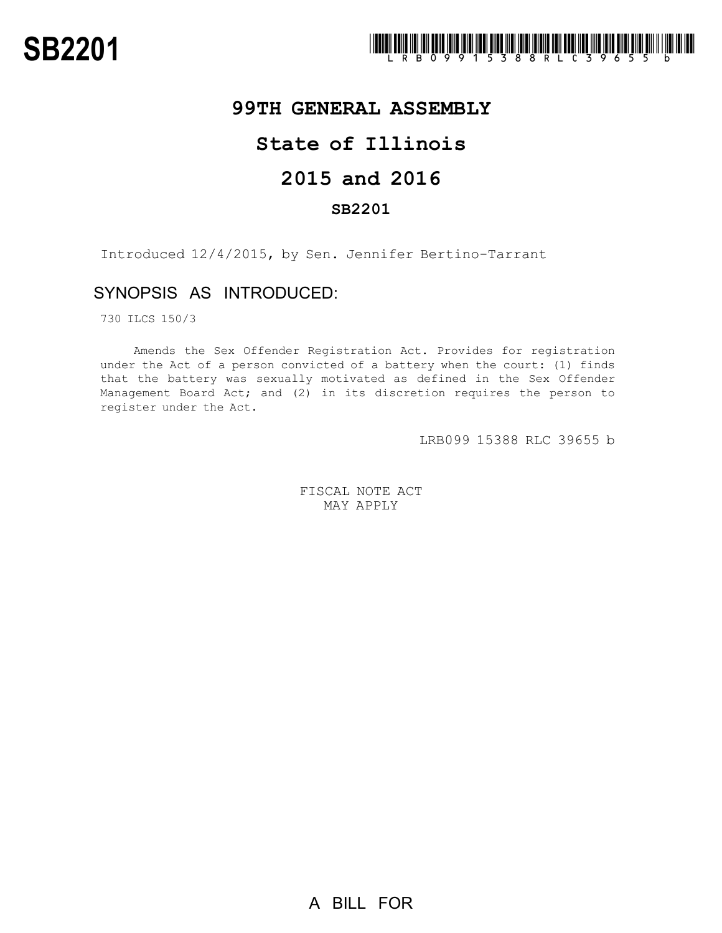

## **99TH GENERAL ASSEMBLY**

# **State of Illinois**

## **2015 and 2016**

### **SB2201**

Introduced 12/4/2015, by Sen. Jennifer Bertino-Tarrant

### SYNOPSIS AS INTRODUCED:

730 ILCS 150/3

Amends the Sex Offender Registration Act. Provides for registration under the Act of a person convicted of a battery when the court: (1) finds that the battery was sexually motivated as defined in the Sex Offender Management Board Act; and (2) in its discretion requires the person to register under the Act.

LRB099 15388 RLC 39655 b

FISCAL NOTE ACT MAY APPLY

A BILL FOR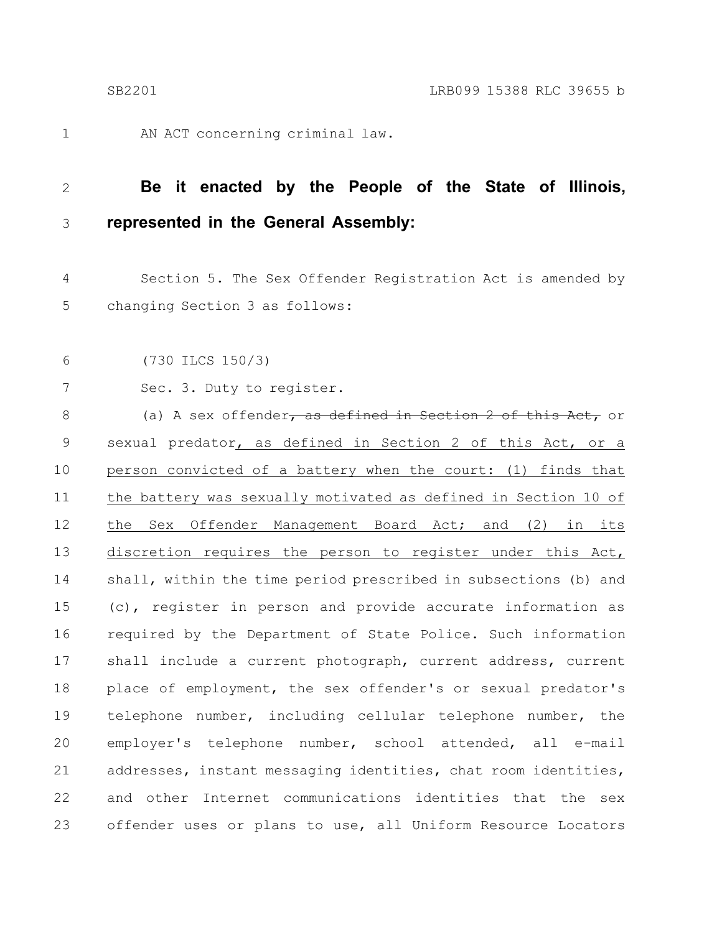1

AN ACT concerning criminal law.

#### **Be it enacted by the People of the State of Illinois, represented in the General Assembly:** 2 3

Section 5. The Sex Offender Registration Act is amended by changing Section 3 as follows: 4 5

(730 ILCS 150/3) 6

Sec. 3. Duty to register. 7

(a) A sex offender, as defined in Section 2 of this Act, or sexual predator, as defined in Section 2 of this Act, or a person convicted of a battery when the court: (1) finds that the battery was sexually motivated as defined in Section 10 of the Sex Offender Management Board Act; and (2) in its discretion requires the person to register under this Act, shall, within the time period prescribed in subsections (b) and (c), register in person and provide accurate information as required by the Department of State Police. Such information shall include a current photograph, current address, current place of employment, the sex offender's or sexual predator's telephone number, including cellular telephone number, the employer's telephone number, school attended, all e-mail addresses, instant messaging identities, chat room identities, and other Internet communications identities that the sex offender uses or plans to use, all Uniform Resource Locators 8 9 10 11 12 13 14 15 16 17 18 19 20 21 22 23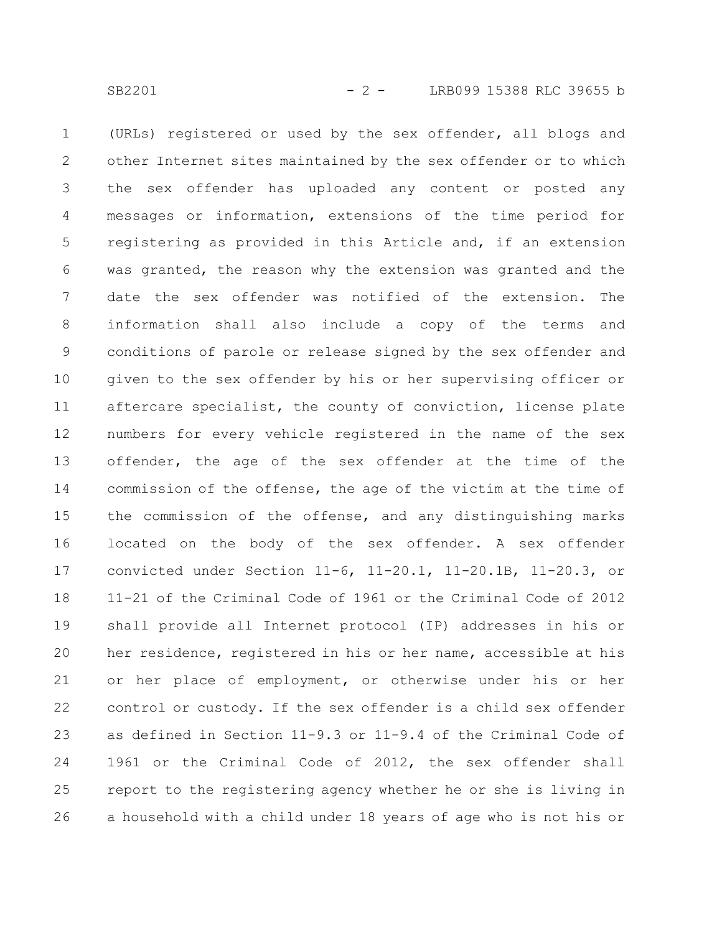(URLs) registered or used by the sex offender, all blogs and other Internet sites maintained by the sex offender or to which the sex offender has uploaded any content or posted any messages or information, extensions of the time period for registering as provided in this Article and, if an extension was granted, the reason why the extension was granted and the date the sex offender was notified of the extension. The information shall also include a copy of the terms and conditions of parole or release signed by the sex offender and given to the sex offender by his or her supervising officer or aftercare specialist, the county of conviction, license plate numbers for every vehicle registered in the name of the sex offender, the age of the sex offender at the time of the commission of the offense, the age of the victim at the time of the commission of the offense, and any distinguishing marks located on the body of the sex offender. A sex offender convicted under Section 11-6, 11-20.1, 11-20.1B, 11-20.3, or 11-21 of the Criminal Code of 1961 or the Criminal Code of 2012 shall provide all Internet protocol (IP) addresses in his or her residence, registered in his or her name, accessible at his or her place of employment, or otherwise under his or her control or custody. If the sex offender is a child sex offender as defined in Section 11-9.3 or 11-9.4 of the Criminal Code of 1961 or the Criminal Code of 2012, the sex offender shall report to the registering agency whether he or she is living in a household with a child under 18 years of age who is not his or 1 2 3 4 5 6 7 8 9 10 11 12 13 14 15 16 17 18 19 20 21 22 23 24 25 26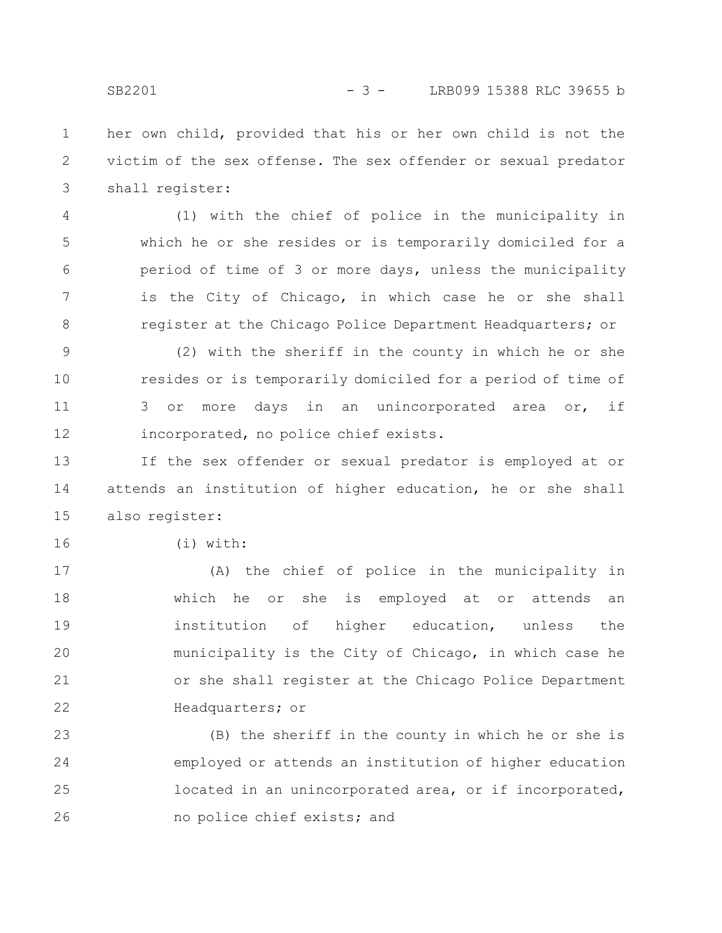her own child, provided that his or her own child is not the victim of the sex offense. The sex offender or sexual predator shall register: 1 2 3

(1) with the chief of police in the municipality in which he or she resides or is temporarily domiciled for a period of time of 3 or more days, unless the municipality is the City of Chicago, in which case he or she shall register at the Chicago Police Department Headquarters; or 4 5 6 7 8

(2) with the sheriff in the county in which he or she resides or is temporarily domiciled for a period of time of 3 or more days in an unincorporated area or, if incorporated, no police chief exists. 9 10 11 12

If the sex offender or sexual predator is employed at or attends an institution of higher education, he or she shall also register: 13 14 15

16

(i) with:

(A) the chief of police in the municipality in which he or she is employed at or attends an institution of higher education, unless the municipality is the City of Chicago, in which case he or she shall register at the Chicago Police Department Headquarters; or 17 18 19 20 21 22

(B) the sheriff in the county in which he or she is employed or attends an institution of higher education located in an unincorporated area, or if incorporated, no police chief exists; and 23 24 25 26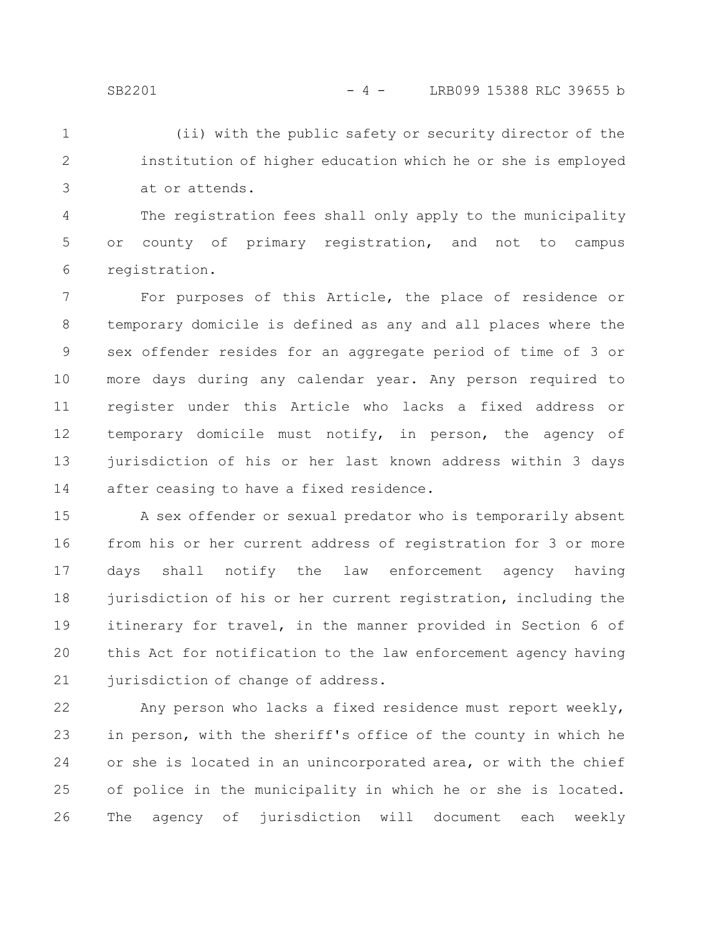(ii) with the public safety or security director of the institution of higher education which he or she is employed at or attends. 1 2 3

The registration fees shall only apply to the municipality or county of primary registration, and not to campus registration. 4 5 6

For purposes of this Article, the place of residence or temporary domicile is defined as any and all places where the sex offender resides for an aggregate period of time of 3 or more days during any calendar year. Any person required to register under this Article who lacks a fixed address or temporary domicile must notify, in person, the agency of jurisdiction of his or her last known address within 3 days after ceasing to have a fixed residence. 7 8 9 10 11 12 13 14

A sex offender or sexual predator who is temporarily absent from his or her current address of registration for 3 or more days shall notify the law enforcement agency having jurisdiction of his or her current registration, including the itinerary for travel, in the manner provided in Section 6 of this Act for notification to the law enforcement agency having jurisdiction of change of address. 15 16 17 18 19 20 21

Any person who lacks a fixed residence must report weekly, in person, with the sheriff's office of the county in which he or she is located in an unincorporated area, or with the chief of police in the municipality in which he or she is located. The agency of jurisdiction will document each weekly 22 23 24 25 26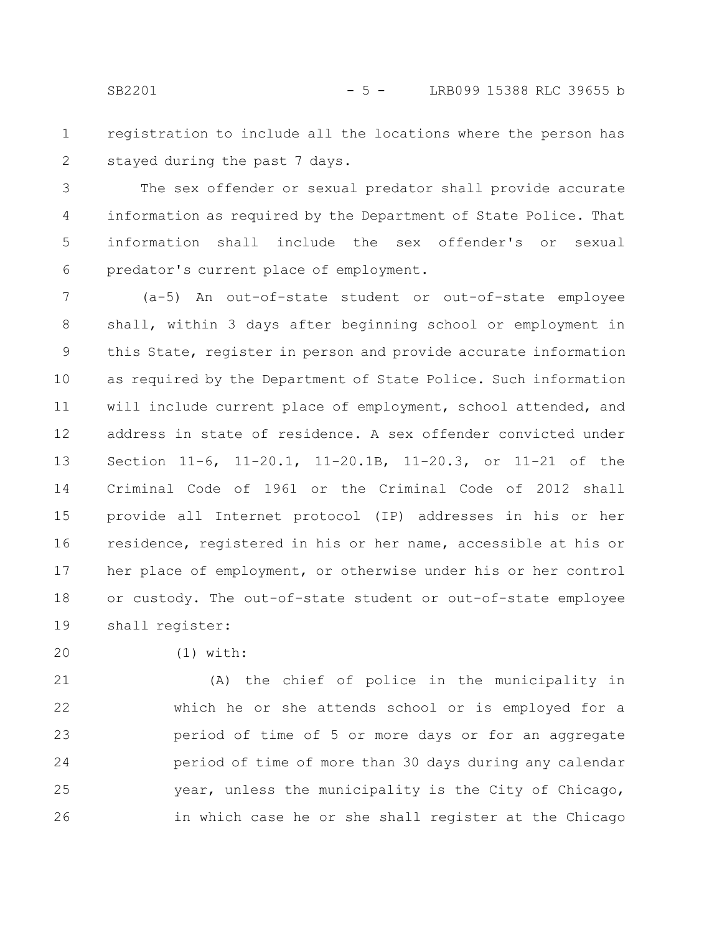registration to include all the locations where the person has stayed during the past 7 days. 1 2

The sex offender or sexual predator shall provide accurate information as required by the Department of State Police. That information shall include the sex offender's or sexual predator's current place of employment. 3 4 5 6

(a-5) An out-of-state student or out-of-state employee shall, within 3 days after beginning school or employment in this State, register in person and provide accurate information as required by the Department of State Police. Such information will include current place of employment, school attended, and address in state of residence. A sex offender convicted under Section 11-6, 11-20.1, 11-20.1B, 11-20.3, or 11-21 of the Criminal Code of 1961 or the Criminal Code of 2012 shall provide all Internet protocol (IP) addresses in his or her residence, registered in his or her name, accessible at his or her place of employment, or otherwise under his or her control or custody. The out-of-state student or out-of-state employee shall register: 7 8 9 10 11 12 13 14 15 16 17 18 19

20

(1) with:

(A) the chief of police in the municipality in which he or she attends school or is employed for a period of time of 5 or more days or for an aggregate period of time of more than 30 days during any calendar year, unless the municipality is the City of Chicago, in which case he or she shall register at the Chicago 21 22 23 24 25 26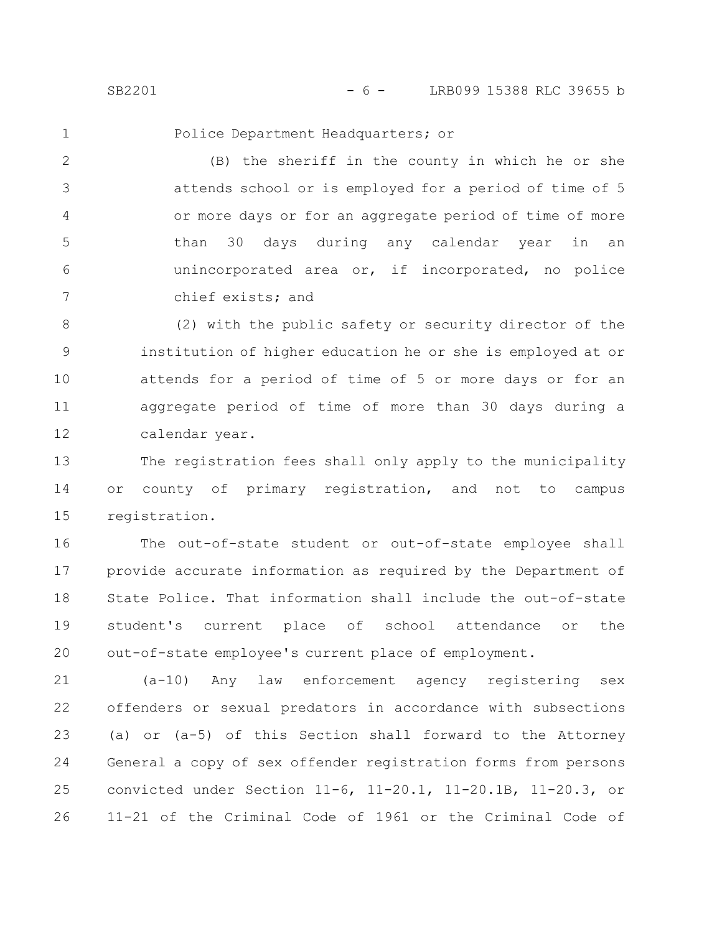SB2201 - 6 - LRB099 15388 RLC 39655 b

1

Police Department Headquarters; or

(B) the sheriff in the county in which he or she attends school or is employed for a period of time of 5 or more days or for an aggregate period of time of more than 30 days during any calendar year in an unincorporated area or, if incorporated, no police chief exists; and 2 3 4 5 6 7

(2) with the public safety or security director of the institution of higher education he or she is employed at or attends for a period of time of 5 or more days or for an aggregate period of time of more than 30 days during a calendar year. 8 9 10 11 12

The registration fees shall only apply to the municipality or county of primary registration, and not to campus registration. 13 14 15

The out-of-state student or out-of-state employee shall provide accurate information as required by the Department of State Police. That information shall include the out-of-state student's current place of school attendance or the out-of-state employee's current place of employment. 16 17 18 19 20

(a-10) Any law enforcement agency registering sex offenders or sexual predators in accordance with subsections (a) or (a-5) of this Section shall forward to the Attorney General a copy of sex offender registration forms from persons convicted under Section 11-6, 11-20.1, 11-20.1B, 11-20.3, or 11-21 of the Criminal Code of 1961 or the Criminal Code of 21 22 23 24 25 26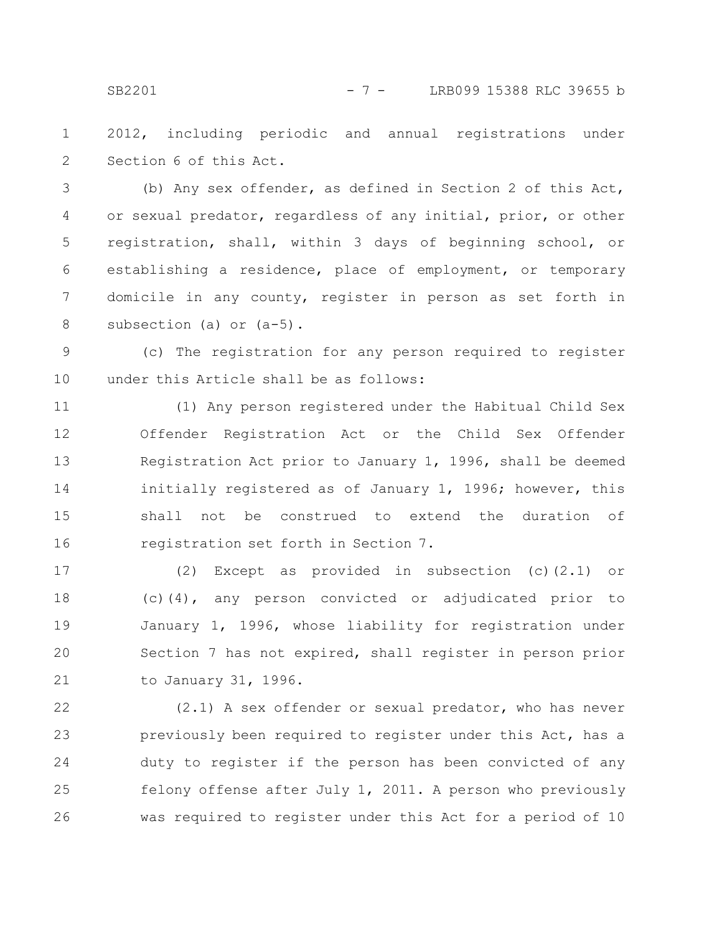SB2201 - 7 - LRB099 15388 RLC 39655 b

2012, including periodic and annual registrations under Section 6 of this Act. 1 2

(b) Any sex offender, as defined in Section 2 of this Act, or sexual predator, regardless of any initial, prior, or other registration, shall, within 3 days of beginning school, or establishing a residence, place of employment, or temporary domicile in any county, register in person as set forth in subsection (a) or (a-5). 3 4 5 6 7 8

(c) The registration for any person required to register under this Article shall be as follows: 9 10

(1) Any person registered under the Habitual Child Sex Offender Registration Act or the Child Sex Offender Registration Act prior to January 1, 1996, shall be deemed initially registered as of January 1, 1996; however, this shall not be construed to extend the duration of registration set forth in Section 7. 11 12 13 14 15 16

(2) Except as provided in subsection (c)(2.1) or (c)(4), any person convicted or adjudicated prior to January 1, 1996, whose liability for registration under Section 7 has not expired, shall register in person prior to January 31, 1996. 17 18 19 20 21

(2.1) A sex offender or sexual predator, who has never previously been required to register under this Act, has a duty to register if the person has been convicted of any felony offense after July 1, 2011. A person who previously was required to register under this Act for a period of 10 22 23 24 25 26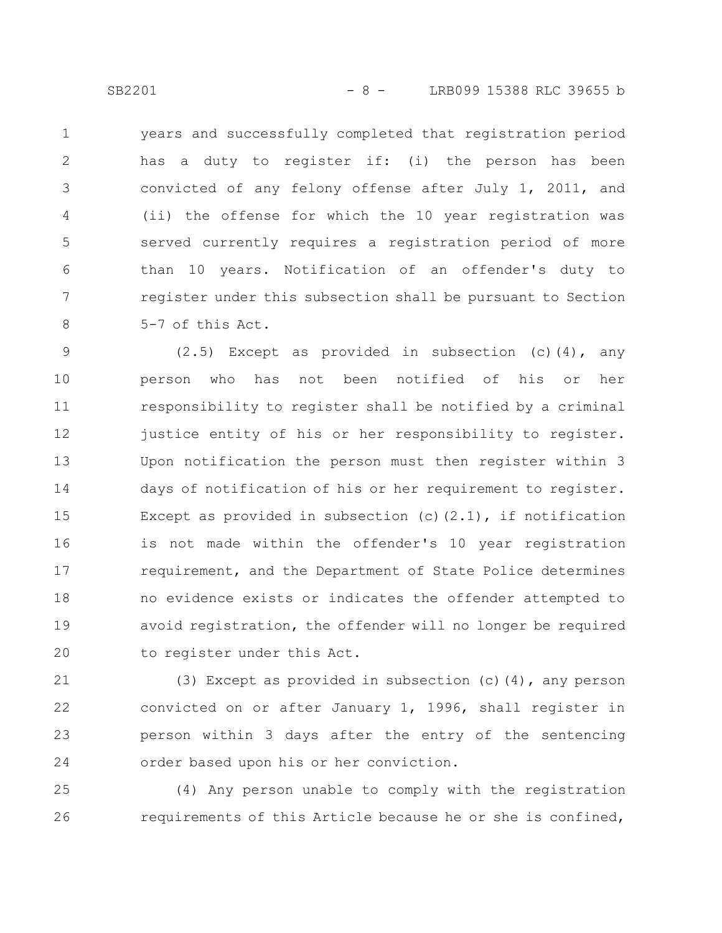years and successfully completed that registration period has a duty to register if: (i) the person has been convicted of any felony offense after July 1, 2011, and (ii) the offense for which the 10 year registration was served currently requires a registration period of more than 10 years. Notification of an offender's duty to register under this subsection shall be pursuant to Section 5-7 of this Act. 1 2 3 4 5 6 7 8

(2.5) Except as provided in subsection (c)(4), any person who has not been notified of his or her responsibility to register shall be notified by a criminal justice entity of his or her responsibility to register. Upon notification the person must then register within 3 days of notification of his or her requirement to register. Except as provided in subsection (c)(2.1), if notification is not made within the offender's 10 year registration requirement, and the Department of State Police determines no evidence exists or indicates the offender attempted to avoid registration, the offender will no longer be required to register under this Act. 9 10 11 12 13 14 15 16 17 18 19 20

(3) Except as provided in subsection (c)(4), any person convicted on or after January 1, 1996, shall register in person within 3 days after the entry of the sentencing order based upon his or her conviction. 21 22 23 24

(4) Any person unable to comply with the registration requirements of this Article because he or she is confined, 25 26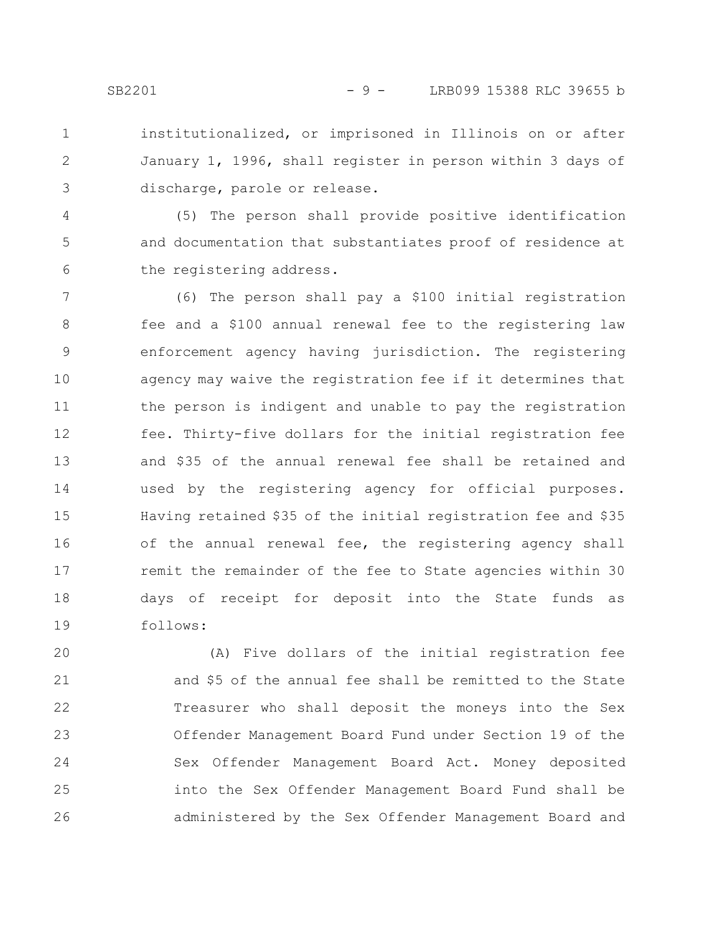- institutionalized, or imprisoned in Illinois on or after
- January 1, 1996, shall register in person within 3 days of discharge, parole or release.

(5) The person shall provide positive identification and documentation that substantiates proof of residence at the registering address. 4 5 6

(6) The person shall pay a \$100 initial registration fee and a \$100 annual renewal fee to the registering law enforcement agency having jurisdiction. The registering agency may waive the registration fee if it determines that the person is indigent and unable to pay the registration fee. Thirty-five dollars for the initial registration fee and \$35 of the annual renewal fee shall be retained and used by the registering agency for official purposes. Having retained \$35 of the initial registration fee and \$35 of the annual renewal fee, the registering agency shall remit the remainder of the fee to State agencies within 30 days of receipt for deposit into the State funds as follows: 7 8 9 10 11 12 13 14 15 16 17 18 19

(A) Five dollars of the initial registration fee and \$5 of the annual fee shall be remitted to the State Treasurer who shall deposit the moneys into the Sex Offender Management Board Fund under Section 19 of the Sex Offender Management Board Act. Money deposited into the Sex Offender Management Board Fund shall be administered by the Sex Offender Management Board and 20 21 22 23 24 25 26

1

2

3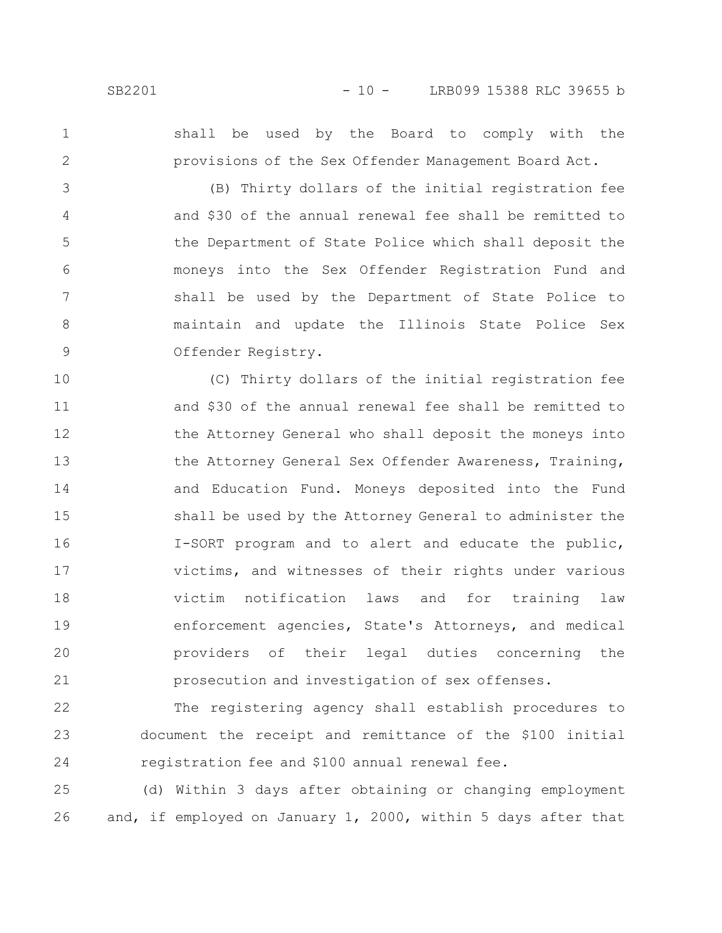1

2

shall be used by the Board to comply with the provisions of the Sex Offender Management Board Act.

(B) Thirty dollars of the initial registration fee and \$30 of the annual renewal fee shall be remitted to the Department of State Police which shall deposit the moneys into the Sex Offender Registration Fund and shall be used by the Department of State Police to maintain and update the Illinois State Police Sex Offender Registry. 3 4 5 6 7 8 9

(C) Thirty dollars of the initial registration fee and \$30 of the annual renewal fee shall be remitted to the Attorney General who shall deposit the moneys into the Attorney General Sex Offender Awareness, Training, and Education Fund. Moneys deposited into the Fund shall be used by the Attorney General to administer the I-SORT program and to alert and educate the public, victims, and witnesses of their rights under various victim notification laws and for training law enforcement agencies, State's Attorneys, and medical providers of their legal duties concerning the prosecution and investigation of sex offenses. 10 11 12 13 14 15 16 17 18 19 20 21

The registering agency shall establish procedures to document the receipt and remittance of the \$100 initial registration fee and \$100 annual renewal fee. 22 23 24

(d) Within 3 days after obtaining or changing employment and, if employed on January 1, 2000, within 5 days after that 25 26